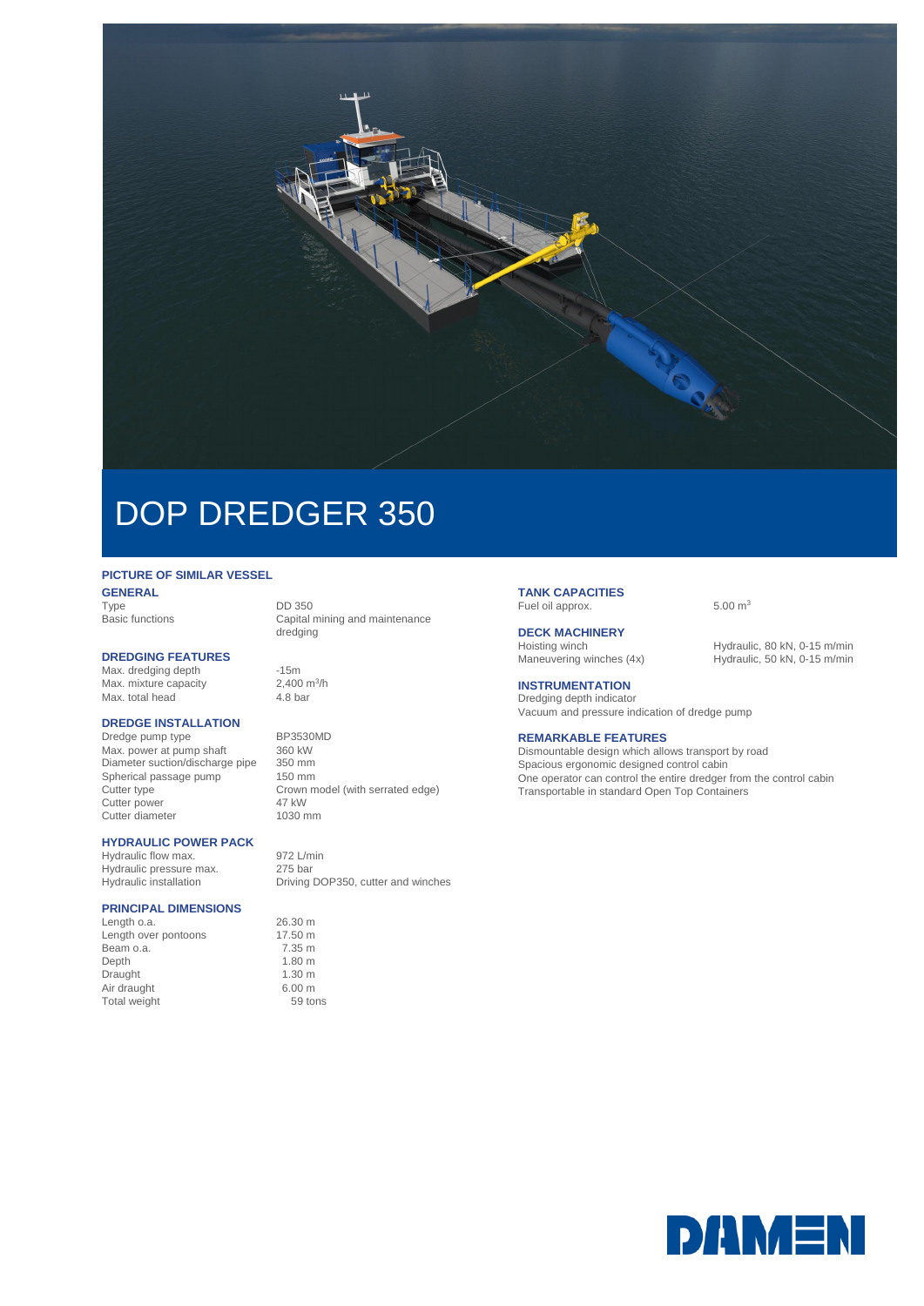

# DOP DREDGER 350

## **PICTURE OF SIMILAR VESSEL**

**GENERAL**<br>Type Type<br>
Type DD 350<br>
Basic functions Capital r

#### **DREDGING FEATURES**

Max. dredging depth -15m Max. mixture capacity 2,400 m<br>Max. total head 4.8 bar Max. total head

## **DREDGE INSTALLATION**

Dredge pump type BP3530MD<br>Max. power at pump shaft 360 kW Max. power at pump shaft 360 kW<br>Diameter suction/discharge pipe 350 mm Diameter suction/discharge pipe 350 mm<br>Spherical passage pump 150 mm Spherical passage pump<br>Cutter type Cutter power Cutter diameter 1030 mm

## **HYDRAULIC POWER PACK**

Hydraulic flow max. 972 L/min Hydraulic pressure max. 275 bar

## **PRINCIPAL DIMENSIONS**

Length o.a. 26.30 m Length over pontoons 17.50 m<br>Beam o.a. 7.35 m Beam o.a. 7.35 m<br>Depth 1.80 m Depth 1.80 m<br>Draught 1.30 m<br>1.30 m Draught 1.30 m<br>
Air draught 6.00 m Air draught 6.00 m<br>Total weight 6.00 m Total weight

Capital mining and maintenance dredging

2,400  $m^3/h$ 

Crown model (with serrated edge)<br>47 kW

Hydraulic installation Driving DOP350, cutter and winches

#### **TANK CAPACITIES** Fuel oil approx. 6.00 m<sup>3</sup>

**DECK MACHINERY**

Hoisting winch Hydraulic, 80 kN, 0-15 m/min<br>Maneuvering winches (4x) Hydraulic, 50 kN, 0-15 m/min Hydraulic, 50 kN, 0-15 m/min

## **INSTRUMENTATION**

Dredging depth indicator Vacuum and pressure indication of dredge pump

## **REMARKABLE FEATURES**

Dismountable design which allows transport by road Spacious ergonomic designed control cabin One operator can control the entire dredger from the control cabin Transportable in standard Open Top Containers